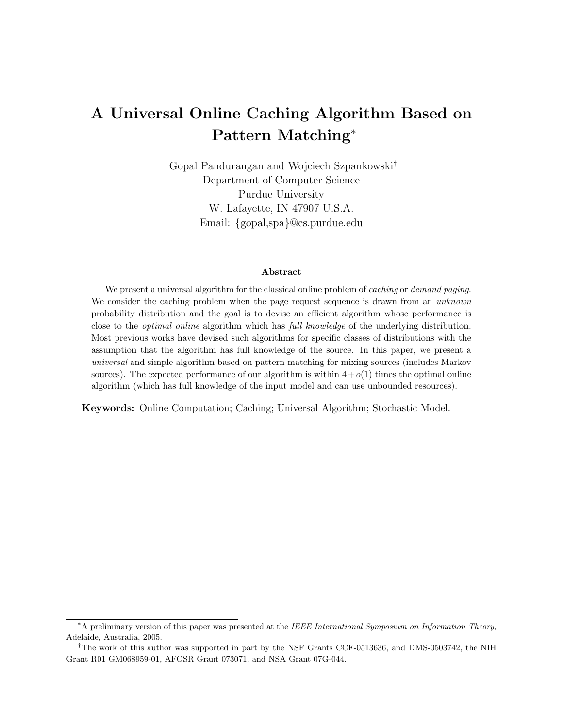# A Universal Online Caching Algorithm Based on Pattern Matching<sup>∗</sup>

Gopal Pandurangan and Wojciech Szpankowski† Department of Computer Science Purdue University W. Lafayette, IN 47907 U.S.A. Email: {gopal,spa}@cs.purdue.edu

#### Abstract

We present a universal algorithm for the classical online problem of *caching* or *demand paging*. We consider the caching problem when the page request sequence is drawn from an *unknown* probability distribution and the goal is to devise an efficient algorithm whose performance is close to the *optimal online* algorithm which has *full knowledge* of the underlying distribution. Most previous works have devised such algorithms for specific classes of distributions with the assumption that the algorithm has full knowledge of the source. In this paper, we present a universal and simple algorithm based on pattern matching for mixing sources (includes Markov sources). The expected performance of our algorithm is within  $4+o(1)$  times the optimal online algorithm (which has full knowledge of the input model and can use unbounded resources).

Keywords: Online Computation; Caching; Universal Algorithm; Stochastic Model.

<sup>∗</sup>A preliminary version of this paper was presented at the IEEE International Symposium on Information Theory, Adelaide, Australia, 2005.

<sup>†</sup>The work of this author was supported in part by the NSF Grants CCF-0513636, and DMS-0503742, the NIH Grant R01 GM068959-01, AFOSR Grant 073071, and NSA Grant 07G-044.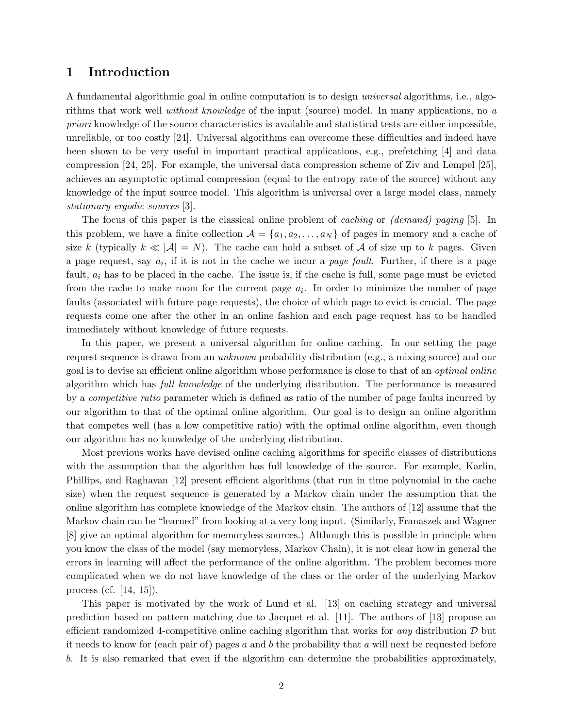# 1 Introduction

A fundamental algorithmic goal in online computation is to design universal algorithms, i.e., algorithms that work well without knowledge of the input (source) model. In many applications, no a priori knowledge of the source characteristics is available and statistical tests are either impossible, unreliable, or too costly [24]. Universal algorithms can overcome these difficulties and indeed have been shown to be very useful in important practical applications, e.g., prefetching [4] and data compression [24, 25]. For example, the universal data compression scheme of Ziv and Lempel [25], achieves an asymptotic optimal compression (equal to the entropy rate of the source) without any knowledge of the input source model. This algorithm is universal over a large model class, namely stationary ergodic sources [3].

The focus of this paper is the classical online problem of *caching* or *(demand)* paging [5]. In this problem, we have a finite collection  $\mathcal{A} = \{a_1, a_2, \ldots, a_N\}$  of pages in memory and a cache of size k (typically  $k \ll |\mathcal{A}| = N$ ). The cache can hold a subset of A of size up to k pages. Given a page request, say  $a_i$ , if it is not in the cache we incur a *page fault*. Further, if there is a page fault,  $a_i$  has to be placed in the cache. The issue is, if the cache is full, some page must be evicted from the cache to make room for the current page  $a_i$ . In order to minimize the number of page faults (associated with future page requests), the choice of which page to evict is crucial. The page requests come one after the other in an online fashion and each page request has to be handled immediately without knowledge of future requests.

In this paper, we present a universal algorithm for online caching. In our setting the page request sequence is drawn from an unknown probability distribution (e.g., a mixing source) and our goal is to devise an efficient online algorithm whose performance is close to that of an optimal online algorithm which has full knowledge of the underlying distribution. The performance is measured by a competitive ratio parameter which is defined as ratio of the number of page faults incurred by our algorithm to that of the optimal online algorithm. Our goal is to design an online algorithm that competes well (has a low competitive ratio) with the optimal online algorithm, even though our algorithm has no knowledge of the underlying distribution.

Most previous works have devised online caching algorithms for specific classes of distributions with the assumption that the algorithm has full knowledge of the source. For example, Karlin, Phillips, and Raghavan [12] present efficient algorithms (that run in time polynomial in the cache size) when the request sequence is generated by a Markov chain under the assumption that the online algorithm has complete knowledge of the Markov chain. The authors of [12] assume that the Markov chain can be "learned" from looking at a very long input. (Similarly, Franaszek and Wagner [8] give an optimal algorithm for memoryless sources.) Although this is possible in principle when you know the class of the model (say memoryless, Markov Chain), it is not clear how in general the errors in learning will affect the performance of the online algorithm. The problem becomes more complicated when we do not have knowledge of the class or the order of the underlying Markov process (cf. [14, 15]).

This paper is motivated by the work of Lund et al. [13] on caching strategy and universal prediction based on pattern matching due to Jacquet et al. [11]. The authors of [13] propose an efficient randomized 4-competitive online caching algorithm that works for *any* distribution  $D$  but it needs to know for (each pair of) pages  $a$  and  $b$  the probability that  $a$  will next be requested before b. It is also remarked that even if the algorithm can determine the probabilities approximately,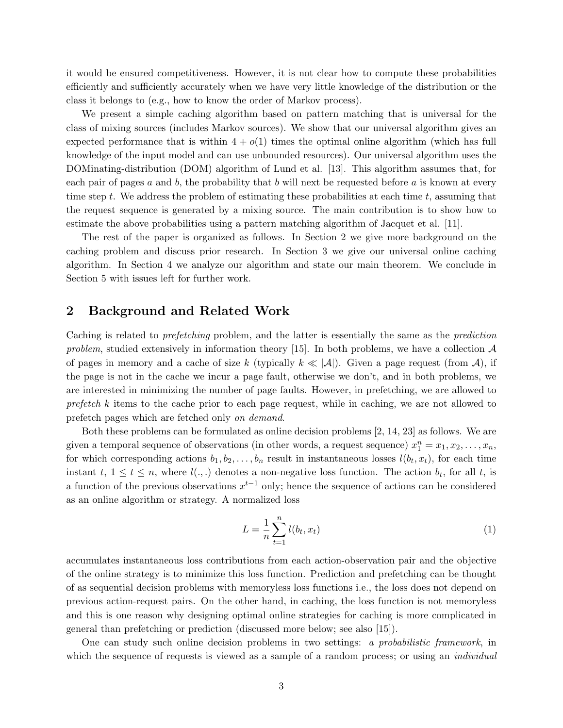it would be ensured competitiveness. However, it is not clear how to compute these probabilities efficiently and sufficiently accurately when we have very little knowledge of the distribution or the class it belongs to (e.g., how to know the order of Markov process).

We present a simple caching algorithm based on pattern matching that is universal for the class of mixing sources (includes Markov sources). We show that our universal algorithm gives an expected performance that is within  $4 + o(1)$  times the optimal online algorithm (which has full knowledge of the input model and can use unbounded resources). Our universal algorithm uses the DOMinating-distribution (DOM) algorithm of Lund et al. [13]. This algorithm assumes that, for each pair of pages a and b, the probability that b will next be requested before a is known at every time step  $t$ . We address the problem of estimating these probabilities at each time  $t$ , assuming that the request sequence is generated by a mixing source. The main contribution is to show how to estimate the above probabilities using a pattern matching algorithm of Jacquet et al. [11].

The rest of the paper is organized as follows. In Section 2 we give more background on the caching problem and discuss prior research. In Section 3 we give our universal online caching algorithm. In Section 4 we analyze our algorithm and state our main theorem. We conclude in Section 5 with issues left for further work.

# 2 Background and Related Work

Caching is related to prefetching problem, and the latter is essentially the same as the prediction problem, studied extensively in information theory [15]. In both problems, we have a collection  $\mathcal A$ of pages in memory and a cache of size k (typically  $k \ll |\mathcal{A}|$ ). Given a page request (from A), if the page is not in the cache we incur a page fault, otherwise we don't, and in both problems, we are interested in minimizing the number of page faults. However, in prefetching, we are allowed to  $prefetch\ k$  items to the cache prior to each page request, while in caching, we are not allowed to prefetch pages which are fetched only on demand.

Both these problems can be formulated as online decision problems [2, 14, 23] as follows. We are given a temporal sequence of observations (in other words, a request sequence)  $x_1^n = x_1, x_2, \ldots, x_n$ , for which corresponding actions  $b_1, b_2, \ldots, b_n$  result in instantaneous losses  $l(b_t, x_t)$ , for each time instant  $t, 1 \le t \le n$ , where  $l(.,.)$  denotes a non-negative loss function. The action  $b_t$ , for all t, is a function of the previous observations  $x^{t-1}$  only; hence the sequence of actions can be considered as an online algorithm or strategy. A normalized loss

$$
L = \frac{1}{n} \sum_{t=1}^{n} l(b_t, x_t)
$$
 (1)

accumulates instantaneous loss contributions from each action-observation pair and the objective of the online strategy is to minimize this loss function. Prediction and prefetching can be thought of as sequential decision problems with memoryless loss functions i.e., the loss does not depend on previous action-request pairs. On the other hand, in caching, the loss function is not memoryless and this is one reason why designing optimal online strategies for caching is more complicated in general than prefetching or prediction (discussed more below; see also [15]).

One can study such online decision problems in two settings: a probabilistic framework, in which the sequence of requests is viewed as a sample of a random process; or using an *individual*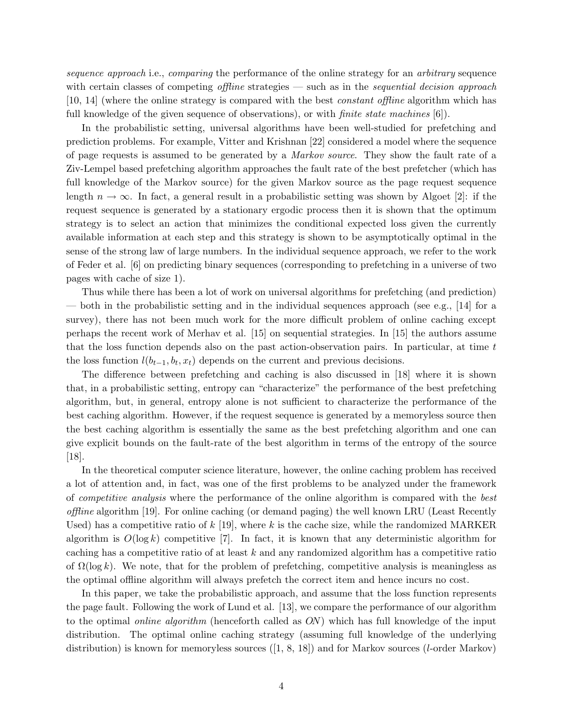sequence approach i.e., comparing the performance of the online strategy for an arbitrary sequence with certain classes of competing *offline* strategies — such as in the *sequential decision approach* [10, 14] (where the online strategy is compared with the best constant offline algorithm which has full knowledge of the given sequence of observations), or with *finite state machines* [6].

In the probabilistic setting, universal algorithms have been well-studied for prefetching and prediction problems. For example, Vitter and Krishnan [22] considered a model where the sequence of page requests is assumed to be generated by a Markov source. They show the fault rate of a Ziv-Lempel based prefetching algorithm approaches the fault rate of the best prefetcher (which has full knowledge of the Markov source) for the given Markov source as the page request sequence length  $n \to \infty$ . In fact, a general result in a probabilistic setting was shown by Algoet [2]: if the request sequence is generated by a stationary ergodic process then it is shown that the optimum strategy is to select an action that minimizes the conditional expected loss given the currently available information at each step and this strategy is shown to be asymptotically optimal in the sense of the strong law of large numbers. In the individual sequence approach, we refer to the work of Feder et al. [6] on predicting binary sequences (corresponding to prefetching in a universe of two pages with cache of size 1).

Thus while there has been a lot of work on universal algorithms for prefetching (and prediction) — both in the probabilistic setting and in the individual sequences approach (see e.g., [14] for a survey), there has not been much work for the more difficult problem of online caching except perhaps the recent work of Merhav et al. [15] on sequential strategies. In [15] the authors assume that the loss function depends also on the past action-observation pairs. In particular, at time t the loss function  $l(b_{t-1}, b_t, x_t)$  depends on the current and previous decisions.

The difference between prefetching and caching is also discussed in [18] where it is shown that, in a probabilistic setting, entropy can "characterize" the performance of the best prefetching algorithm, but, in general, entropy alone is not sufficient to characterize the performance of the best caching algorithm. However, if the request sequence is generated by a memoryless source then the best caching algorithm is essentially the same as the best prefetching algorithm and one can give explicit bounds on the fault-rate of the best algorithm in terms of the entropy of the source [18].

In the theoretical computer science literature, however, the online caching problem has received a lot of attention and, in fact, was one of the first problems to be analyzed under the framework of competitive analysis where the performance of the online algorithm is compared with the best offline algorithm [19]. For online caching (or demand paging) the well known LRU (Least Recently Used) has a competitive ratio of  $k$  [19], where k is the cache size, while the randomized MARKER algorithm is  $O(\log k)$  competitive [7]. In fact, it is known that any deterministic algorithm for caching has a competitive ratio of at least  $k$  and any randomized algorithm has a competitive ratio of  $\Omega(\log k)$ . We note, that for the problem of prefetching, competitive analysis is meaningless as the optimal offline algorithm will always prefetch the correct item and hence incurs no cost.

In this paper, we take the probabilistic approach, and assume that the loss function represents the page fault. Following the work of Lund et al. [13], we compare the performance of our algorithm to the optimal *online algorithm* (henceforth called as ON) which has full knowledge of the input distribution. The optimal online caching strategy (assuming full knowledge of the underlying distribution) is known for memoryless sources  $([1, 8, 18])$  and for Markov sources  $(l$ -order Markov)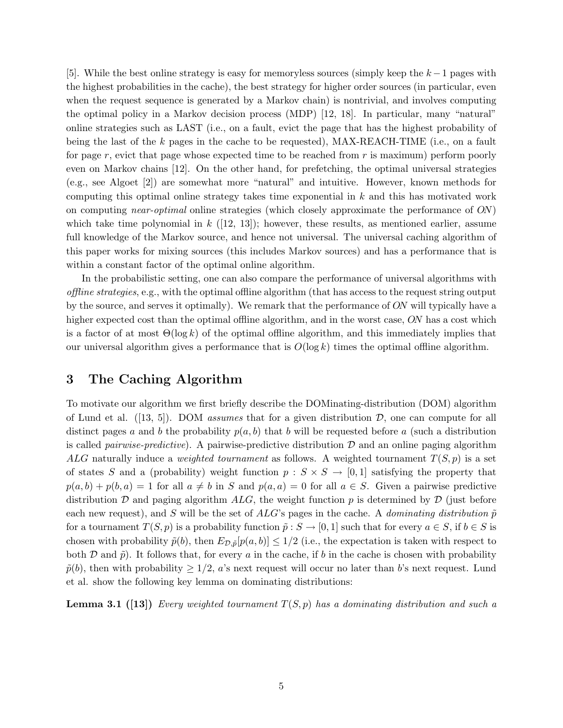[5]. While the best online strategy is easy for memoryless sources (simply keep the  $k-1$  pages with the highest probabilities in the cache), the best strategy for higher order sources (in particular, even when the request sequence is generated by a Markov chain) is nontrivial, and involves computing the optimal policy in a Markov decision process (MDP) [12, 18]. In particular, many "natural" online strategies such as LAST (i.e., on a fault, evict the page that has the highest probability of being the last of the  $k$  pages in the cache to be requested), MAX-REACH-TIME (i.e., on a fault for page r, evict that page whose expected time to be reached from  $r$  is maximum) perform poorly even on Markov chains [12]. On the other hand, for prefetching, the optimal universal strategies (e.g., see Algoet [2]) are somewhat more "natural" and intuitive. However, known methods for computing this optimal online strategy takes time exponential in  $k$  and this has motivated work on computing near-optimal online strategies (which closely approximate the performance of ON) which take time polynomial in  $k$  ([12, 13]); however, these results, as mentioned earlier, assume full knowledge of the Markov source, and hence not universal. The universal caching algorithm of this paper works for mixing sources (this includes Markov sources) and has a performance that is within a constant factor of the optimal online algorithm.

In the probabilistic setting, one can also compare the performance of universal algorithms with offline strategies, e.g., with the optimal offline algorithm (that has access to the request string output by the source, and serves it optimally). We remark that the performance of ON will typically have a higher expected cost than the optimal offline algorithm, and in the worst case, ON has a cost which is a factor of at most  $\Theta(\log k)$  of the optimal offline algorithm, and this immediately implies that our universal algorithm gives a performance that is  $O(\log k)$  times the optimal offline algorithm.

# 3 The Caching Algorithm

To motivate our algorithm we first briefly describe the DOMinating-distribution (DOM) algorithm of Lund et al.  $([13, 5])$ . DOM assumes that for a given distribution D, one can compute for all distinct pages a and b the probability  $p(a, b)$  that b will be requested before a (such a distribution is called *pairwise-predictive*). A pairwise-predictive distribution  $\mathcal D$  and an online paging algorithm ALG naturally induce a *weighted tournament* as follows. A weighted tournament  $T(S, p)$  is a set of states S and a (probability) weight function  $p : S \times S \rightarrow [0, 1]$  satisfying the property that  $p(a, b) + p(b, a) = 1$  for all  $a \neq b$  in S and  $p(a, a) = 0$  for all  $a \in S$ . Given a pairwise predictive distribution  $\mathcal D$  and paging algorithm ALG, the weight function p is determined by  $\mathcal D$  (just before each new request), and S will be the set of ALG's pages in the cache. A dominating distribution  $\tilde{p}$ for a tournament  $T(S, p)$  is a probability function  $\tilde{p}: S \to [0, 1]$  such that for every  $a \in S$ , if  $b \in S$  is chosen with probability  $\tilde{p}(b)$ , then  $E_{\mathcal{D},\tilde{p}}[p(a,b)] \leq 1/2$  (i.e., the expectation is taken with respect to both  $\mathcal D$  and  $\tilde p$ ). It follows that, for every a in the cache, if b in the cache is chosen with probability  $\tilde{p}(b)$ , then with probability  $\geq 1/2$ , a's next request will occur no later than b's next request. Lund et al. show the following key lemma on dominating distributions:

**Lemma 3.1** ([13]) Every weighted tournament  $T(S, p)$  has a dominating distribution and such a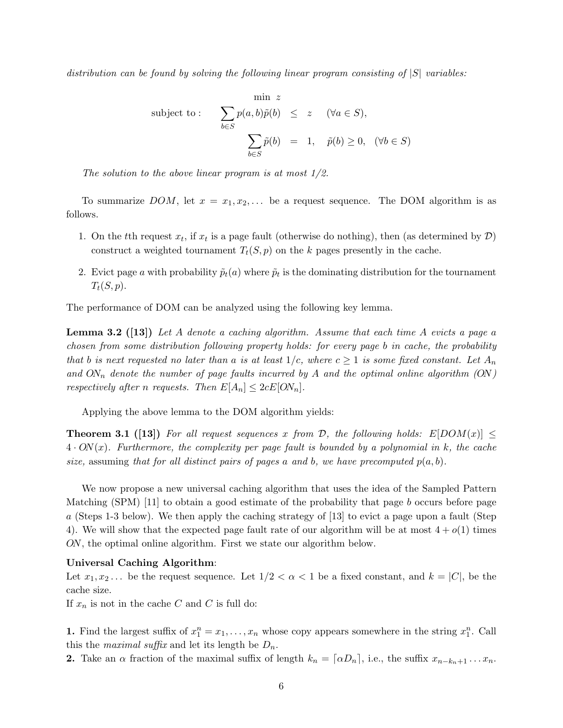distribution can be found by solving the following linear program consisting of  $|S|$  variables:

$$
\begin{array}{rcl}\n\text{min} & z \\
\text{subject to:} & \sum_{b \in S} p(a, b)\tilde{p}(b) \leq z \quad (\forall a \in S), \\
& \sum_{b \in S} \tilde{p}(b) = 1, \quad \tilde{p}(b) \geq 0, \quad (\forall b \in S)\n\end{array}
$$

The solution to the above linear program is at most 1/2.

To summarize DOM, let  $x = x_1, x_2, \ldots$  be a request sequence. The DOM algorithm is as follows.

- 1. On the tth request  $x_t$ , if  $x_t$  is a page fault (otherwise do nothing), then (as determined by  $\mathcal{D}$ ) construct a weighted tournament  $T_t(S, p)$  on the k pages presently in the cache.
- 2. Evict page a with probability  $\tilde{p}_t(a)$  where  $\tilde{p}_t$  is the dominating distribution for the tournament  $T_t(S, p).$

The performance of DOM can be analyzed using the following key lemma.

**Lemma 3.2** ([13]) Let A denote a caching algorithm. Assume that each time A evicts a page a chosen from some distribution following property holds: for every page b in cache, the probability that b is next requested no later than a is at least  $1/c$ , where  $c \ge 1$  is some fixed constant. Let  $A_n$ and  $ON_n$  denote the number of page faults incurred by A and the optimal online algorithm  $(ON)$ respectively after n requests. Then  $E[A_n] \leq 2cE[ON_n]$ .

Applying the above lemma to the DOM algorithm yields:

**Theorem 3.1** ([13]) For all request sequences x from D, the following holds:  $E[DOM(x)] \leq$  $4 \cdot ON(x)$ . Furthermore, the complexity per page fault is bounded by a polynomial in k, the cache size, assuming that for all distinct pairs of pages a and b, we have precomputed  $p(a, b)$ .

We now propose a new universal caching algorithm that uses the idea of the Sampled Pattern Matching (SPM) [11] to obtain a good estimate of the probability that page b occurs before page a (Steps 1-3 below). We then apply the caching strategy of [13] to evict a page upon a fault (Step 4). We will show that the expected page fault rate of our algorithm will be at most  $4 + o(1)$  times ON, the optimal online algorithm. First we state our algorithm below.

### Universal Caching Algorithm:

Let  $x_1, x_2, \ldots$  be the request sequence. Let  $1/2 < \alpha < 1$  be a fixed constant, and  $k = |C|$ , be the cache size.

If  $x_n$  is not in the cache C and C is full do:

**1.** Find the largest suffix of  $x_1^n = x_1, \ldots, x_n$  whose copy appears somewhere in the string  $x_1^n$ . Call this the *maximal suffix* and let its length be  $D_n$ .

2. Take an  $\alpha$  fraction of the maximal suffix of length  $k_n = [\alpha D_n]$ , i.e., the suffix  $x_{n-k_n+1} \dots x_n$ .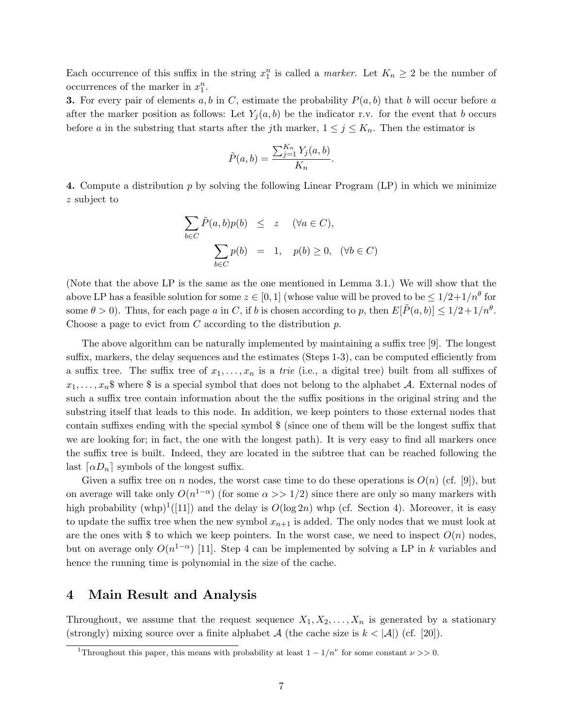Each occurrence of this suffix in the string  $x_1^n$  is called a *marker*. Let  $K_n \geq 2$  be the number of occurrences of the marker in  $x_1^n$ .

**3.** For every pair of elements a, b in C, estimate the probability  $P(a, b)$  that b will occur before a after the marker position as follows: Let  $Y_i(a, b)$  be the indicator r.v. for the event that b occurs before a in the substring that starts after the jth marker,  $1 \leq j \leq K_n$ . Then the estimator is

$$
\tilde{P}(a,b) = \frac{\sum_{j=1}^{K_n} Y_j(a,b)}{K_n}.
$$

4. Compute a distribution  $p$  by solving the following Linear Program  $(LP)$  in which we minimize z subject to

$$
\sum_{b \in C} \tilde{P}(a, b)p(b) \leq z \quad (\forall a \in C),
$$
  

$$
\sum_{b \in C} p(b) = 1, \quad p(b) \geq 0, \quad (\forall b \in C)
$$

(Note that the above LP is the same as the one mentioned in Lemma 3.1.) We will show that the above LP has a feasible solution for some  $z \in [0,1]$  (whose value will be proved to be  $\leq 1/2+1/n^{\theta}$  for some  $\theta > 0$ ). Thus, for each page a in C, if b is chosen according to p, then  $E[\tilde{P}(a, b)] \leq 1/2 + 1/n^{\theta}$ . Choose a page to evict from  $C$  according to the distribution  $p$ .

The above algorithm can be naturally implemented by maintaining a suffix tree [9]. The longest suffix, markers, the delay sequences and the estimates (Steps 1-3), can be computed efficiently from a suffix tree. The suffix tree of  $x_1, \ldots, x_n$  is a trie (i.e., a digital tree) built from all suffixes of  $x_1, \ldots, x_n$  where  $\frac{1}{3}$  is a special symbol that does not belong to the alphabet A. External nodes of such a suffix tree contain information about the the suffix positions in the original string and the substring itself that leads to this node. In addition, we keep pointers to those external nodes that contain suffixes ending with the special symbol \$ (since one of them will be the longest suffix that we are looking for; in fact, the one with the longest path). It is very easy to find all markers once the suffix tree is built. Indeed, they are located in the subtree that can be reached following the last  $\lceil \alpha D_n \rceil$  symbols of the longest suffix.

Given a suffix tree on n nodes, the worst case time to do these operations is  $O(n)$  (cf. [9]), but on average will take only  $O(n^{1-\alpha})$  (for some  $\alpha >> 1/2$ ) since there are only so many markers with high probability (whp)<sup>1</sup>([11]) and the delay is  $O(\log 2n)$  whp (cf. Section 4). Moreover, it is easy to update the suffix tree when the new symbol  $x_{n+1}$  is added. The only nodes that we must look at are the ones with \$ to which we keep pointers. In the worst case, we need to inspect  $O(n)$  nodes, but on average only  $O(n^{1-\alpha})$  [11]. Step 4 can be implemented by solving a LP in k variables and hence the running time is polynomial in the size of the cache.

## 4 Main Result and Analysis

Throughout, we assume that the request sequence  $X_1, X_2, \ldots, X_n$  is generated by a stationary (strongly) mixing source over a finite alphabet  $\mathcal A$  (the cache size is  $k < |\mathcal A|$ ) (cf. [20]).

<sup>&</sup>lt;sup>1</sup>Throughout this paper, this means with probability at least  $1 - 1/n^{\nu}$  for some constant  $\nu >> 0$ .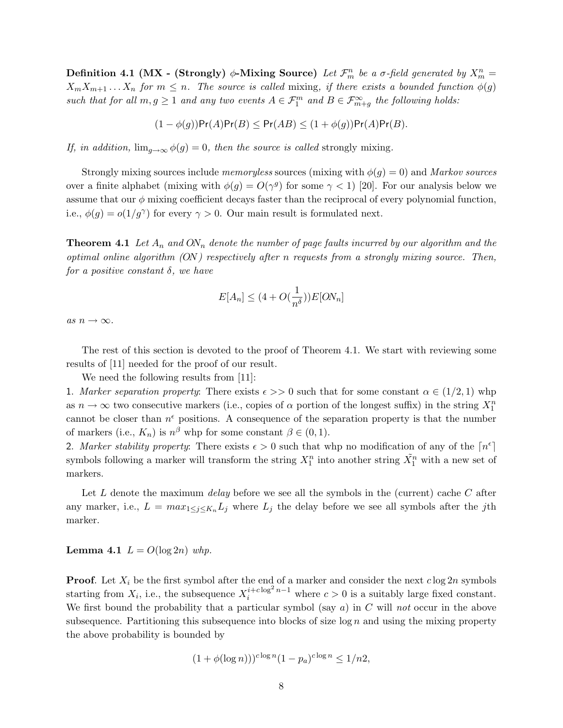Definition 4.1 (MX - (Strongly)  $\phi$ -Mixing Source) Let  $\mathcal{F}_m^n$  be a  $\sigma$ -field generated by  $X_m^n =$  $X_m X_{m+1} \ldots X_n$  for  $m \leq n$ . The source is called mixing, if there exists a bounded function  $\phi(g)$ such that for all  $m, g \geq 1$  and any two events  $A \in \mathcal{F}_1^m$  and  $B \in \mathcal{F}_{m+g}^{\infty}$  the following holds:

$$
(1 - \phi(g))Pr(A)Pr(B) \le Pr(AB) \le (1 + \phi(g))Pr(A)Pr(B).
$$

If, in addition,  $\lim_{q\to\infty} \phi(g) = 0$ , then the source is called strongly mixing.

Strongly mixing sources include *memoryless* sources (mixing with  $\phi(q) = 0$ ) and *Markov sources* over a finite alphabet (mixing with  $\phi(g) = O(\gamma^g)$  for some  $\gamma < 1$ ) [20]. For our analysis below we assume that our  $\phi$  mixing coefficient decays faster than the reciprocal of every polynomial function, i.e.,  $\phi(g) = o(1/g^{\gamma})$  for every  $\gamma > 0$ . Our main result is formulated next.

**Theorem 4.1** Let  $A_n$  and  $ON_n$  denote the number of page faults incurred by our algorithm and the optimal online algorithm  $(ON)$  respectively after n requests from a strongly mixing source. Then, for a positive constant  $\delta$ , we have

$$
E[A_n] \leq (4 + O(\frac{1}{n^\delta})) E[ON_n]
$$

as  $n \to \infty$ .

The rest of this section is devoted to the proof of Theorem 4.1. We start with reviewing some results of [11] needed for the proof of our result.

We need the following results from [11]:

1. Marker separation property: There exists  $\epsilon >> 0$  such that for some constant  $\alpha \in (1/2, 1)$  whp as  $n \to \infty$  two consecutive markers (i.e., copies of  $\alpha$  portion of the longest suffix) in the string  $X_1^n$ cannot be closer than  $n^{\epsilon}$  positions. A consequence of the separation property is that the number of markers (i.e.,  $K_n$ ) is  $n^{\beta}$  whp for some constant  $\beta \in (0,1)$ .

2. Marker stability property: There exists  $\epsilon > 0$  such that whp no modification of any of the  $\lceil n^{\epsilon} \rceil$ symbols following a marker will transform the string  $X_1^n$  into another string  $\tilde{X_1^n}$  with a new set of markers.

Let L denote the maximum *delay* before we see all the symbols in the (current) cache C after any marker, i.e.,  $L = max_{1 \leq j \leq K_n} L_j$  where  $L_j$  the delay before we see all symbols after the jth marker.

**Lemma 4.1**  $L = O(\log 2n)$  whp.

**Proof.** Let  $X_i$  be the first symbol after the end of a marker and consider the next  $c \log 2n$  symbols starting from  $X_i$ , i.e., the subsequence  $X_i^{i+c \log^2 n-1}$  where  $c > 0$  is a suitably large fixed constant. We first bound the probability that a particular symbol (say  $a$ ) in C will not occur in the above subsequence. Partitioning this subsequence into blocks of size  $\log n$  and using the mixing property the above probability is bounded by

$$
(1+\phi(\log n)))^{c\log n}(1-p_a)^{c\log n}\leq 1/n2,
$$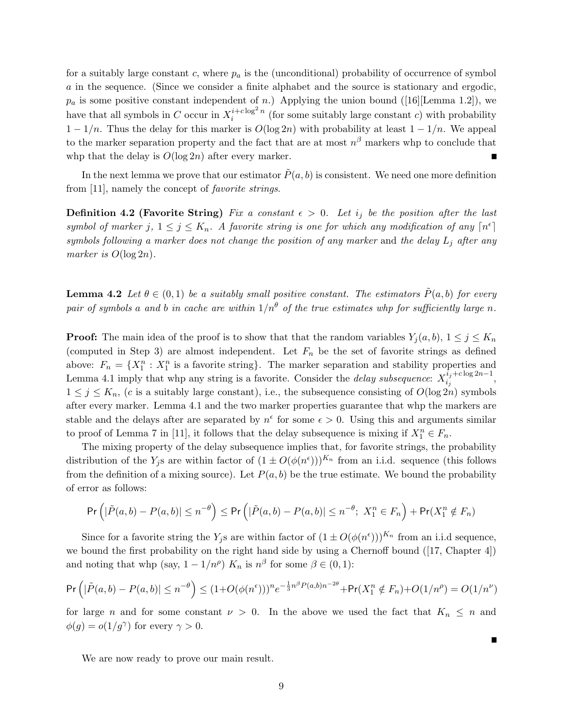for a suitably large constant c, where  $p_a$  is the (unconditional) probability of occurrence of symbol a in the sequence. (Since we consider a finite alphabet and the source is stationary and ergodic,  $p_a$  is some positive constant independent of n.) Applying the union bound ([16][Lemma 1.2]), we have that all symbols in C occur in  $X_i^{i+c \log^2 n}$  $i^{i+c \log n}$  (for some suitably large constant c) with probability  $1 - 1/n$ . Thus the delay for this marker is  $O(\log 2n)$  with probability at least  $1 - 1/n$ . We appeal to the marker separation property and the fact that are at most  $n^{\beta}$  markers whp to conclude that whp that the delay is  $O(\log 2n)$  after every marker.  $\blacksquare$ 

In the next lemma we prove that our estimator  $P(a, b)$  is consistent. We need one more definition from [11], namely the concept of favorite strings.

**Definition 4.2 (Favorite String)** Fix a constant  $\epsilon > 0$ . Let  $i_j$  be the position after the last symbol of marker j,  $1 \leq j \leq K_n$ . A favorite string is one for which any modification of any  $\lceil n^{\epsilon} \rceil$ symbols following a marker does not change the position of any marker and the delay  $L_j$  after any marker is  $O(\log 2n)$ .

**Lemma 4.2** Let  $\theta \in (0,1)$  be a suitably small positive constant. The estimators  $\tilde{P}(a, b)$  for every pair of symbols a and b in cache are within  $1/n^{\theta}$  of the true estimates whp for sufficiently large n.

**Proof:** The main idea of the proof is to show that that the random variables  $Y_j(a, b)$ ,  $1 \leq j \leq K_n$ (computed in Step 3) are almost independent. Let  $F_n$  be the set of favorite strings as defined above:  $F_n = \{X_1^n : X_1^n$  is a favorite string}. The marker separation and stability properties and Lemma 4.1 imply that whp any string is a favorite. Consider the *delay subsequence*:  $X_i^{i_j+c \log 2n-1}$  $i_j$ ,  $1 \leq j \leq K_n$ , (c is a suitably large constant), i.e., the subsequence consisting of  $O(\log 2n)$  symbols after every marker. Lemma 4.1 and the two marker properties guarantee that whp the markers are stable and the delays after are separated by  $n^{\epsilon}$  for some  $\epsilon > 0$ . Using this and arguments similar to proof of Lemma 7 in [11], it follows that the delay subsequence is mixing if  $X_1^n \in F_n$ .

The mixing property of the delay subsequence implies that, for favorite strings, the probability distribution of the  $Y_j$ s are within factor of  $(1 \pm O(\phi(n^{\epsilon})))^{K_n}$  from an i.i.d. sequence (this follows from the definition of a mixing source). Let  $P(a, b)$  be the true estimate. We bound the probability of error as follows:

$$
\Pr\left(|\tilde{P}(a,b)-P(a,b)|\leq n^{-\theta}\right)\leq \Pr\left(|\tilde{P}(a,b)-P(a,b)|\leq n^{-\theta};\ X_1^n\in F_n\right)+\Pr(X_1^n\notin F_n)
$$

Since for a favorite string the  $Y_j$ s are within factor of  $(1 \pm O(\phi(n^{\epsilon})))^{K_n}$  from an i.i.d sequence, we bound the first probability on the right hand side by using a Chernoff bound ([17, Chapter 4]) and noting that whp (say,  $1 - 1/n^{\rho}$ )  $K_n$  is  $n^{\beta}$  for some  $\beta \in (0, 1)$ :

$$
\Pr\left(|\tilde{P}(a,b) - P(a,b)| \le n^{-\theta}\right) \le (1 + O(\phi(n^{\epsilon})))^n e^{-\frac{1}{3}n^{\beta}P(a,b)n^{-2\theta}} + \Pr(X_1^n \notin F_n) + O(1/n^{\rho}) = O(1/n^{\nu})
$$

for large n and for some constant  $\nu > 0$ . In the above we used the fact that  $K_n \leq n$  and  $\phi(g) = o(1/g^{\gamma})$  for every  $\gamma > 0$ .

Г

We are now ready to prove our main result.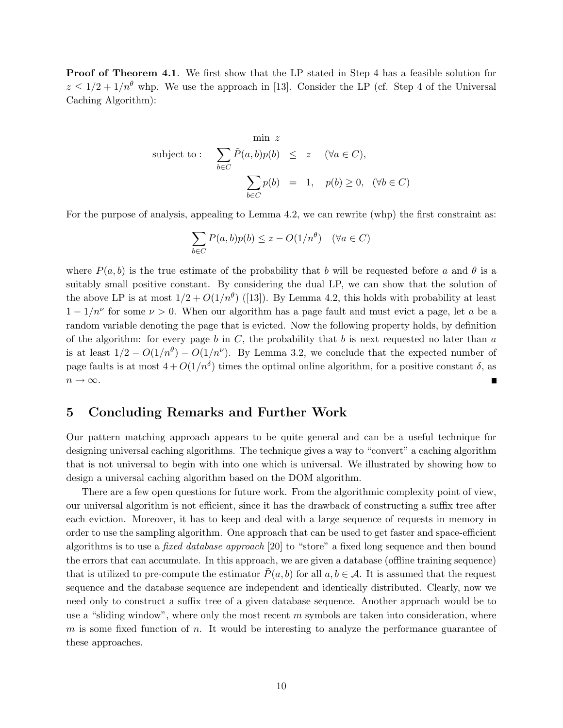Proof of Theorem 4.1. We first show that the LP stated in Step 4 has a feasible solution for  $z \leq 1/2 + 1/n^{\theta}$  whp. We use the approach in [13]. Consider the LP (cf. Step 4 of the Universal Caching Algorithm):

$$
\begin{array}{rcl}\n\text{min } z \\
\text{subject to:} & \sum_{b \in C} \tilde{P}(a, b) p(b) \leq z \quad (\forall a \in C), \\
& \sum_{b \in C} p(b) = 1, \quad p(b) \geq 0, \quad (\forall b \in C)\n\end{array}
$$

For the purpose of analysis, appealing to Lemma 4.2, we can rewrite (whp) the first constraint as:

$$
\sum_{b \in C} P(a, b)p(b) \le z - O(1/n^{\theta}) \quad (\forall a \in C)
$$

where  $P(a, b)$  is the true estimate of the probability that b will be requested before a and  $\theta$  is a suitably small positive constant. By considering the dual LP, we can show that the solution of the above LP is at most  $1/2 + O(1/n^{\theta})$  ([13]). By Lemma 4.2, this holds with probability at least  $1 - 1/n^{\nu}$  for some  $\nu > 0$ . When our algorithm has a page fault and must evict a page, let a be a random variable denoting the page that is evicted. Now the following property holds, by definition of the algorithm: for every page b in  $C$ , the probability that b is next requested no later than a is at least  $1/2 - O(1/n^{\theta}) - O(1/n^{\nu})$ . By Lemma 3.2, we conclude that the expected number of page faults is at most  $4 + O(1/n^{\delta})$  times the optimal online algorithm, for a positive constant  $\delta$ , as  $n \to \infty$ . г

## 5 Concluding Remarks and Further Work

Our pattern matching approach appears to be quite general and can be a useful technique for designing universal caching algorithms. The technique gives a way to "convert" a caching algorithm that is not universal to begin with into one which is universal. We illustrated by showing how to design a universal caching algorithm based on the DOM algorithm.

There are a few open questions for future work. From the algorithmic complexity point of view, our universal algorithm is not efficient, since it has the drawback of constructing a suffix tree after each eviction. Moreover, it has to keep and deal with a large sequence of requests in memory in order to use the sampling algorithm. One approach that can be used to get faster and space-efficient algorithms is to use a fixed database approach [20] to "store" a fixed long sequence and then bound the errors that can accumulate. In this approach, we are given a database (offline training sequence) that is utilized to pre-compute the estimator  $P(a, b)$  for all  $a, b \in A$ . It is assumed that the request sequence and the database sequence are independent and identically distributed. Clearly, now we need only to construct a suffix tree of a given database sequence. Another approach would be to use a "sliding window", where only the most recent  $m$  symbols are taken into consideration, where  $m$  is some fixed function of  $n$ . It would be interesting to analyze the performance guarantee of these approaches.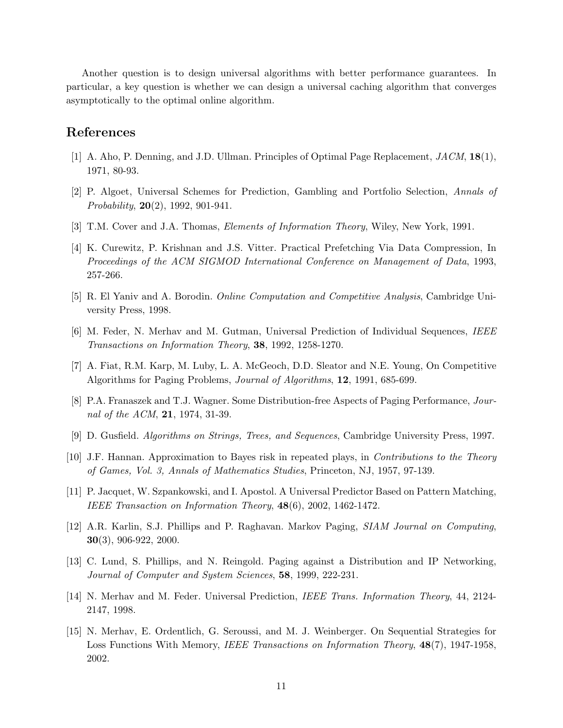Another question is to design universal algorithms with better performance guarantees. In particular, a key question is whether we can design a universal caching algorithm that converges asymptotically to the optimal online algorithm.

# References

- [1] A. Aho, P. Denning, and J.D. Ullman. Principles of Optimal Page Replacement, JACM, 18(1), 1971, 80-93.
- [2] P. Algoet, Universal Schemes for Prediction, Gambling and Portfolio Selection, Annals of *Probability*,  $20(2)$ , 1992, 901-941.
- [3] T.M. Cover and J.A. Thomas, *Elements of Information Theory*, Wiley, New York, 1991.
- [4] K. Curewitz, P. Krishnan and J.S. Vitter. Practical Prefetching Via Data Compression, In Proceedings of the ACM SIGMOD International Conference on Management of Data, 1993, 257-266.
- [5] R. El Yaniv and A. Borodin. Online Computation and Competitive Analysis, Cambridge University Press, 1998.
- [6] M. Feder, N. Merhav and M. Gutman, Universal Prediction of Individual Sequences, IEEE Transactions on Information Theory, 38, 1992, 1258-1270.
- [7] A. Fiat, R.M. Karp, M. Luby, L. A. McGeoch, D.D. Sleator and N.E. Young, On Competitive Algorithms for Paging Problems, Journal of Algorithms, 12, 1991, 685-699.
- [8] P.A. Franaszek and T.J. Wagner. Some Distribution-free Aspects of Paging Performance, Journal of the ACM, **21**, 1974, 31-39.
- [9] D. Gusfield. Algorithms on Strings, Trees, and Sequences, Cambridge University Press, 1997.
- [10] J.F. Hannan. Approximation to Bayes risk in repeated plays, in Contributions to the Theory of Games, Vol. 3, Annals of Mathematics Studies, Princeton, NJ, 1957, 97-139.
- [11] P. Jacquet, W. Szpankowski, and I. Apostol. A Universal Predictor Based on Pattern Matching, IEEE Transaction on Information Theory, 48(6), 2002, 1462-1472.
- [12] A.R. Karlin, S.J. Phillips and P. Raghavan. Markov Paging, SIAM Journal on Computing, 30(3), 906-922, 2000.
- [13] C. Lund, S. Phillips, and N. Reingold. Paging against a Distribution and IP Networking, Journal of Computer and System Sciences, 58, 1999, 222-231.
- [14] N. Merhav and M. Feder. Universal Prediction, IEEE Trans. Information Theory, 44, 2124- 2147, 1998.
- [15] N. Merhav, E. Ordentlich, G. Seroussi, and M. J. Weinberger. On Sequential Strategies for Loss Functions With Memory, *IEEE Transactions on Information Theory*, **48**(7), **1947-1958**, 2002.